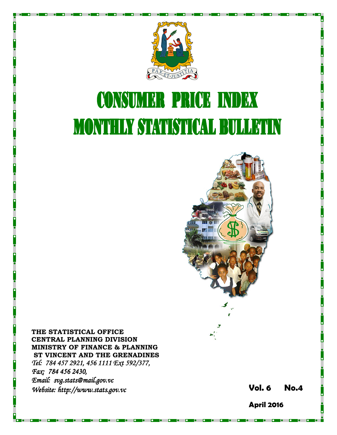

# **CONSUMER PRICE INDEX MONTHLY STATISTICAL BULLETIN**



THE STATISTICAL OFFICE CENTRAL PLANNING DIVISION MINISTRY OF FINANCE & PLANNING ST VINCENT AND THE GRENADINES Tel: 784 457 2921, 456 1111 Ext 592/377, Fax: 784 456 2430, Email: svg.stats@mail.gov.vc Website: http://www.stats.gov.vc **Stats.gov.vc** Stats.gov.vc Stats.gov.vc Vol. 6 No.4

April 2016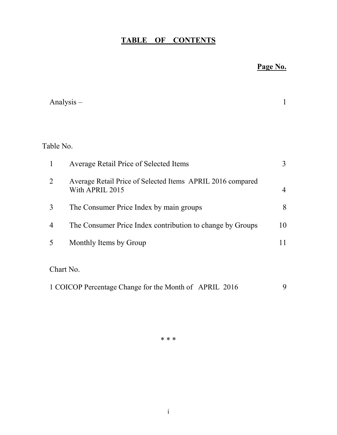## TABLE OF CONTENTS

## Page No.

|                | Analysis $-$                                                                  | 1              |
|----------------|-------------------------------------------------------------------------------|----------------|
|                |                                                                               |                |
| Table No.      |                                                                               |                |
| 1              | Average Retail Price of Selected Items                                        | 3              |
| $\overline{2}$ | Average Retail Price of Selected Items APRIL 2016 compared<br>With APRIL 2015 | $\overline{4}$ |
| 3              | The Consumer Price Index by main groups                                       | 8              |
| $\overline{4}$ | The Consumer Price Index contribution to change by Groups                     | 10             |
| 5              | Monthly Items by Group                                                        | 11             |
|                | Chart No.                                                                     |                |
|                | 1 COICOP Percentage Change for the Month of APRIL 2016                        | 9              |

\* \* \*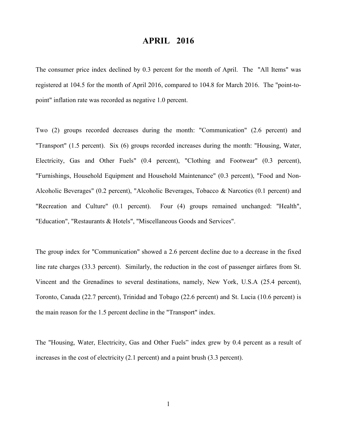### APRIL 2016

The consumer price index declined by 0.3 percent for the month of April. The "All Items" was registered at 104.5 for the month of April 2016, compared to 104.8 for March 2016. The "point-topoint" inflation rate was recorded as negative 1.0 percent.

Two (2) groups recorded decreases during the month: "Communication" (2.6 percent) and "Transport" (1.5 percent). Six (6) groups recorded increases during the month: "Housing, Water, Electricity, Gas and Other Fuels" (0.4 percent), "Clothing and Footwear" (0.3 percent), "Furnishings, Household Equipment and Household Maintenance" (0.3 percent), "Food and Non-Alcoholic Beverages" (0.2 percent), "Alcoholic Beverages, Tobacco & Narcotics (0.1 percent) and "Recreation and Culture" (0.1 percent). Four (4) groups remained unchanged: "Health", "Education", "Restaurants & Hotels", "Miscellaneous Goods and Services".

The group index for "Communication" showed a 2.6 percent decline due to a decrease in the fixed line rate charges (33.3 percent). Similarly, the reduction in the cost of passenger airfares from St. Vincent and the Grenadines to several destinations, namely, New York, U.S.A (25.4 percent), Toronto, Canada (22.7 percent), Trinidad and Tobago (22.6 percent) and St. Lucia (10.6 percent) is the main reason for the 1.5 percent decline in the "Transport" index.

The "Housing, Water, Electricity, Gas and Other Fuels" index grew by 0.4 percent as a result of increases in the cost of electricity (2.1 percent) and a paint brush (3.3 percent).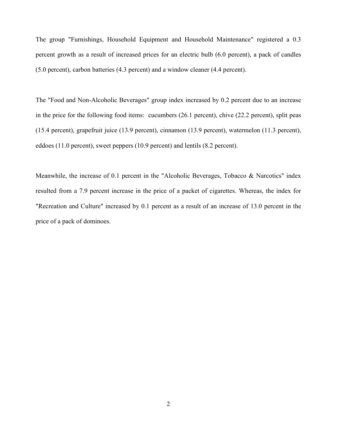The group "Furnishings, Household Equipment and Household Maintenance" registered a 0.3 percent growth as a result of increased prices for an electric bulb (6.0 percent), a pack of candles (5.0 percent), carbon batteries (4.3 percent) and a window cleaner (4.4 percent).

The "Food and Non-Alcoholic Beverages" group index increased by 0.2 percent due to an increase in the price for the following food items: cucumbers (26.1 percent), chive (22.2 percent), split peas (15.4 percent), grapefruit juice (13.9 percent), cinnamon (13.9 percent), watermelon (11.3 percent), eddoes (11.0 percent), sweet peppers (10.9 percent) and lentils (8.2 percent).

Meanwhile, the increase of 0.1 percent in the "Alcoholic Beverages, Tobacco & Narcotics" index resulted from a 7.9 percent increase in the price of a packet of cigarettes. Whereas, the index for "Recreation and Culture" increased by 0.1 percent as a result of an increase of 13.0 percent in the price of a pack of dominoes.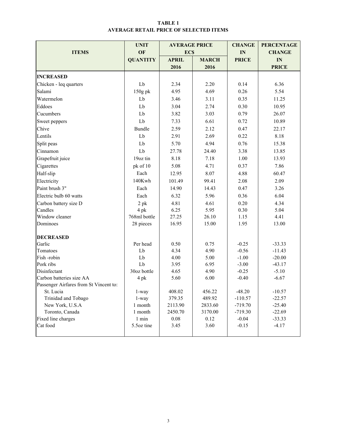#### TABLE 1 AVERAGE RETAIL PRICE OF SELECTED ITEMS

|                                        | <b>UNIT</b>           | <b>AVERAGE PRICE</b> |              | <b>CHANGE</b> | <b>PERCENTAGE</b> |  |
|----------------------------------------|-----------------------|----------------------|--------------|---------------|-------------------|--|
| <b>ITEMS</b>                           | OF                    | <b>ECS</b>           |              | IN            | <b>CHANGE</b>     |  |
|                                        | <b>QUANTITY</b>       | <b>APRIL</b>         | <b>MARCH</b> | <b>PRICE</b>  | IN                |  |
|                                        |                       | 2016                 | 2016         |               | <b>PRICE</b>      |  |
| <b>INCREASED</b>                       |                       |                      |              |               |                   |  |
| Chicken - leq quarters                 | Lb                    | 2.34                 | 2.20         | 0.14          | 6.36              |  |
| Salami                                 | 150g pk               | 4.95                 | 4.69         | 0.26          | 5.54              |  |
| Watermelon                             | Lb                    | 3.46                 | 3.11         | 0.35          | 11.25             |  |
| Eddoes                                 | Lb                    | 3.04                 | 2.74         | 0.30          | 10.95             |  |
| Cucumbers                              | Lb                    | 3.82                 | 3.03         | 0.79          | 26.07             |  |
| Sweet peppers                          | Lb                    | 7.33                 | 6.61         | 0.72          | 10.89             |  |
| Chive                                  | <b>Bundle</b>         | 2.59                 | 2.12         | 0.47          | 22.17             |  |
| Lentils                                | Lb                    | 2.91                 | 2.69         | 0.22          | 8.18              |  |
| Split peas                             | Lb                    | 5.70                 | 4.94         | 0.76          | 15.38             |  |
| Cinnamon                               | Lb                    | 27.78                | 24.40        | 3.38          | 13.85             |  |
| Grapefruit juice                       | 19oz tin              | 8.18                 | 7.18         | 1.00          | 13.93             |  |
| Cigarettes                             | pk of 10              | 5.08                 | 4.71         |               | 7.86              |  |
| Half-slip                              | Each                  | 12.95<br>8.07        |              | 4.88          | 60.47             |  |
| Electricity                            | 140Kwh                | 101.49               | 99.41        | 2.08          | 2.09              |  |
| Paint brush 3"                         | Each                  | 14.90                | 14.43        | 0.47          | 3.26              |  |
| Electric bulb 60 watts                 | Each                  | 6.32                 | 5.96         | 0.36          | 6.04              |  |
| Carbon battery size D                  | $2$ p $k$             | 4.81                 | 4.61         | 0.20          | 4.34              |  |
| Candles                                | 4 pk                  | 6.25                 | 5.95         | 0.30          | 5.04              |  |
| Window cleaner                         | 768ml bottle          | 27.25                | 26.10        | 1.15          | 4.41              |  |
| Dominoes                               | 28 pieces             | 16.95                | 15.00        | 1.95          | 13.00             |  |
| <b>DECREASED</b>                       |                       |                      |              |               |                   |  |
| Garlic                                 | Per head              | 0.50                 | 0.75         | $-0.25$       | $-33.33$          |  |
| Tomatoes                               | Lb                    | 4.34                 | 4.90         | $-0.56$       | $-11.43$          |  |
| Fish-robin                             | Lb                    | 4.00                 | 5.00         | $-1.00$       | $-20.00$          |  |
| Pork ribs                              | Lb                    | 3.95                 | 6.95         | $-3.00$       | $-43.17$          |  |
| Disinfectant                           | 30oz bottle           | 4.65<br>4.90         |              | $-0.25$       | $-5.10$           |  |
| Carbon batteries size AA               | 4 pk                  | 5.60                 | 6.00         | $-0.40$       | $-6.67$           |  |
| Passenger Airfares from St Vincent to: |                       |                      |              |               |                   |  |
| St. Lucia                              | 1-way                 | 408.02               | 456.22       | $-48.20$      | $-10.57$          |  |
| Trinidad and Tobago                    | $1$ -way              | 379.35               | 489.92       | $-110.57$     | $-22.57$          |  |
| New York, U.S.A                        | 1 month               | 2113.90              | 2833.60      | $-719.70$     | $-25.40$          |  |
| Toronto, Canada                        | 1 month               | 2450.70              | 3170.00      | $-719.30$     | $-22.69$          |  |
| Fixed line charges<br>Cat food         | $1$ min<br>5.5oz tine | 0.08                 | 0.12<br>3.60 | $-0.04$       | $-33.33$          |  |
|                                        |                       | 3.45                 |              | $-0.15$       | $-4.17$           |  |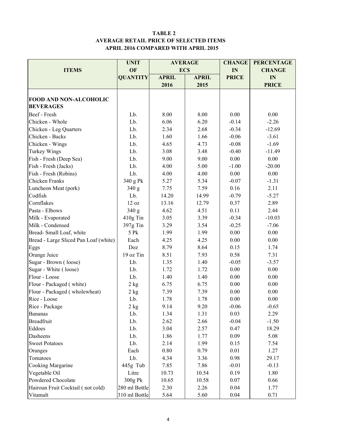#### TABLE 2 AVERAGE RETAIL PRICE OF SELECTED ITEMS APRIL 2016 COMPARED WITH APRIL 2015

|                                       | <b>UNIT</b>     |              | <b>AVERAGE</b> | <b>CHANGE</b> | <b>PERCENTAGE</b> |  |
|---------------------------------------|-----------------|--------------|----------------|---------------|-------------------|--|
| <b>ITEMS</b>                          | OF              |              | <b>ECS</b>     | IN            | <b>CHANGE</b>     |  |
|                                       | <b>QUANTITY</b> | <b>APRIL</b> | <b>APRIL</b>   | <b>PRICE</b>  | IN                |  |
|                                       |                 | 2016         | 2015           |               | <b>PRICE</b>      |  |
|                                       |                 |              |                |               |                   |  |
| <b>FOOD AND NON-ALCOHOLIC</b>         |                 |              |                |               |                   |  |
| <b>BEVERAGES</b>                      |                 |              |                |               |                   |  |
| Beef - Fresh                          | Lb.             | 8.00         | 8.00           | 0.00          | 0.00              |  |
| Chicken - Whole                       | Lb.             | 6.06         | 6.20           | $-0.14$       | $-2.26$           |  |
| Chicken - Leg Quarters                | Lb.             | 2.34         | 2.68           | $-0.34$       | $-12.69$          |  |
| Chicken - Backs                       | Lb.             | 1.60         | 1.66           | $-0.06$       | $-3.61$           |  |
| Chicken - Wings                       | Lb.             | 4.65         | 4.73           | $-0.08$       | $-1.69$           |  |
| <b>Turkey Wings</b>                   | Lb.             | 3.08         | 3.48           | $-0.40$       | $-11.49$          |  |
| Fish - Fresh (Deep Sea)               | Lb.             | 9.00         | 9.00           | 0.00          | 0.00              |  |
| Fish - Fresh (Jacks)                  | Lb.             | 4.00         | 5.00           | $-1.00$       | $-20.00$          |  |
| Fish - Fresh (Robins)                 | Lb.             | 4.00         | 4.00           | 0.00          | 0.00              |  |
| Chicken Franks                        | 340 g Pk        | 5.27         | 5.34           | $-0.07$       | $-1.31$           |  |
| Luncheon Meat (pork)                  | 340 g           | 7.75         | 7.59           | 0.16          | 2.11              |  |
| Codfish                               | Lb.             | 14.20        | 14.99          | $-0.79$       | $-5.27$           |  |
| Cornflakes                            | 12 oz           | 13.16        | 12.79          | 0.37          | 2.89              |  |
| Pasta - Elbows                        | 340 g           | 4.62         | 4.51           | 0.11          | 2.44              |  |
| Milk - Evaporated                     | 410g Tin        | 3.05         | 3.39           | $-0.34$       | $-10.03$          |  |
| Milk - Condensed                      | 397g Tin        | 3.29         | 3.54           | $-0.25$       | $-7.06$           |  |
| Bread-Small Loaf, white               | 5 Pk            | 1.99         | 1.99           | 0.00          | 0.00              |  |
| Bread - Large Sliced Pan Loaf (white) | Each            | 4.25         | 4.25           | 0.00          | 0.00              |  |
| Eggs                                  | Doz             | 8.79         | 8.64           | 0.15          | 1.74              |  |
| Orange Juice                          | 19 oz Tin       | 8.51         | 7.93           | 0.58          | 7.31              |  |
| Sugar - Brown (loose)                 | Lb.             | 1.35         | 1.40           | $-0.05$       | $-3.57$           |  |
| Sugar - White (loose)                 | Lb.             | 1.72         | 1.72           | 0.00          | 0.00              |  |
| Flour - Loose                         | Lb.             | 1.40         | 1.40           | 0.00          | 0.00              |  |
| Flour - Packaged (white)              | 2 kg            | 6.75         | 6.75           | 0.00          | 0.00              |  |
| Flour - Packaged (wholewheat)         | 2 kg            | 7.39         | 7.39           | 0.00          | 0.00              |  |
| Rice - Loose                          | Lb.             | 1.78         | 1.78           | 0.00          | 0.00              |  |
| Rice - Package                        | 2 kg            | 9.14         | 9.20           | $-0.06$       | $-0.65$           |  |
| <b>Bananas</b>                        | Lb.             | 1.34         | 1.31           | 0.03          | 2.29              |  |
| <b>Breadfruit</b>                     | Lb.             | 2.62         | 2.66           | $-0.04$       | $-1.50$           |  |
| Eddoes                                | Lb.             | 3.04         | 2.57           | 0.47          | 18.29             |  |
| Dasheens                              | Lb.             | 1.86         | 1.77           | 0.09          | 5.08              |  |
| <b>Sweet Potatoes</b>                 | Lb.             | 2.14         | 1.99           | 0.15          | 7.54              |  |
| Oranges                               | Each            | 0.80         | 0.79           | 0.01          | 1.27              |  |
| Tomatoes                              | Lb.             | 4.34         | 3.36           | 0.98          | 29.17             |  |
| Cooking Margarine                     | 445g Tub        | 7.85         | 7.86           | $-0.01$       | $-0.13$           |  |
| Vegetable Oil                         | Litre           | 10.73        | 10.54          | 0.19          | 1.80              |  |
| Powdered Chocolate                    | 300g Pk         | 10.65        | 10.58          | 0.07          | 0.66              |  |
| Hairoun Fruit Cocktail (not cold)     | 280 ml Bottle   | 2.30         | 2.26           | 0.04          | 1.77              |  |
| Vitamalt                              | 310 ml Bottle   | 5.64         | 5.60           | 0.04          | 0.71              |  |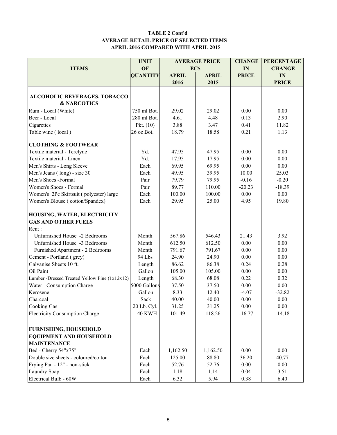#### TABLE 2 Cont'd AVERAGE RETAIL PRICE OF SELECTED ITEMS APRIL 2016 COMPARED WITH APRIL 2015

|                                                     | <b>UNIT</b>      | <b>AVERAGE PRICE</b> |              | <b>CHANGE</b> | <b>PERCENTAGE</b> |  |
|-----------------------------------------------------|------------------|----------------------|--------------|---------------|-------------------|--|
| <b>ITEMS</b>                                        | OF               |                      | <b>ECS</b>   | IN            | <b>CHANGE</b>     |  |
|                                                     | <b>QUANTITY</b>  | <b>APRIL</b>         | <b>APRIL</b> | <b>PRICE</b>  | IN                |  |
|                                                     |                  | 2016                 | 2015         |               | <b>PRICE</b>      |  |
|                                                     |                  |                      |              |               |                   |  |
| ALCOHOLIC BEVERAGES, TOBACCO                        |                  |                      |              |               |                   |  |
| <b>&amp; NARCOTICS</b>                              |                  |                      |              |               |                   |  |
| Rum - Local (White)                                 | 750 ml Bot.      | 29.02                | 29.02        | 0.00          | 0.00              |  |
| Beer - Local                                        | 280 ml Bot.      | 4.61                 | 4.48         | 0.13          | 2.90              |  |
| Cigarettes                                          | Pkt. $(10)$      | 3.88                 | 3.47         | 0.41          | 11.82             |  |
| Table wine (local)                                  | 26 oz Bot.       | 18.79                | 18.58        | 0.21          | 1.13              |  |
| <b>CLOTHING &amp; FOOTWEAR</b>                      |                  |                      |              |               |                   |  |
| Textile material - Terelyne                         | Yd.              | 47.95                | 47.95        | 0.00          | 0.00              |  |
| Textile material - Linen                            | Yd.              | 17.95                | 17.95        | 0.00          | 0.00              |  |
| Men's Shirts - Long Sleeve                          | Each             | 69.95                | 69.95        | 0.00          | 0.00              |  |
| Men's Jeans (long) - size 30                        | Each             | 49.95                | 39.95        | 10.00         | 25.03             |  |
| Men's Shoes -Formal                                 | Pair             | 79.79                | 79.95        | $-0.16$       | $-0.20$           |  |
| Women's Shoes - Formal                              | Pair             | 89.77                | 110.00       | $-20.23$      | $-18.39$          |  |
| Women's 2Pc Skirtsuit (polyester) large             | Each             | 100.00               | 100.00       | 0.00          | 0.00              |  |
| Women's Blouse (cotton/Spandex)                     | Each             | 29.95                | 25.00        | 4.95          | 19.80             |  |
| HOUSING, WATER, ELECTRICITY                         |                  |                      |              |               |                   |  |
| <b>GAS AND OTHER FUELS</b>                          |                  |                      |              |               |                   |  |
| Rent:                                               |                  |                      |              |               |                   |  |
| Unfurnished House -2 Bedrooms                       | Month            | 567.86               | 546.43       | 21.43         | 3.92              |  |
| Unfurnished House -3 Bedrooms                       | Month            | 612.50               | 612.50       | 0.00          | 0.00              |  |
| Furnished Apartment - 2 Bedrooms                    | Month            | 791.67               | 791.67       | 0.00          | 0.00              |  |
|                                                     | 94 Lbs           | 24.90                | 24.90        | 0.00          | 0.00              |  |
| Cement - Portland (grey)<br>Galvanise Sheets 10 ft. |                  | 86.62                | 86.38        | 0.24          | 0.28              |  |
| Oil Paint                                           | Length<br>Gallon |                      | 105.00       | 0.00          | 0.00              |  |
|                                                     |                  | 105.00               |              |               |                   |  |
| Lumber -Dressed Treated Yellow Pine (1x12x12)       | Length           | 68.30                | 68.08        | 0.22          | 0.32              |  |
| Water - Consumption Charge                          | 5000 Gallons     | 37.50                | 37.50        | 0.00          | 0.00              |  |
| Kerosene                                            | Gallon           | 8.33                 | 12.40        | $-4.07$       | $-32.82$          |  |
| Charcoal                                            | Sack             | 40.00                | 40.00        | 0.00          | 0.00              |  |
| Cooking Gas                                         | 20 Lb. Cyl.      | 31.25                | 31.25        | 0.00          | 0.00              |  |
| <b>Electricity Consumption Charge</b>               | <b>140 KWH</b>   | 101.49               | 118.26       | $-16.77$      | $-14.18$          |  |
| <b>FURNISHING, HOUSEHOLD</b>                        |                  |                      |              |               |                   |  |
| <b>EQUIPMENT AND HOUSEHOLD</b>                      |                  |                      |              |               |                   |  |
| <b>MAINTENANCE</b>                                  |                  |                      |              |               |                   |  |
| Bed - Cherry 54"x75"                                | Each             | 1,162.50             | 1,162.50     | 0.00          | 0.00              |  |
| Double size sheets - coloured/cotton                | Each             | 125.00               | 88.80        | 36.20         | 40.77             |  |
| Frying Pan - 12" - non-stick                        | Each             | 52.76                | 52.76        | 0.00          | 0.00              |  |
| Laundry Soap                                        | Each             | 1.18                 | 1.14         | 0.04          | 3.51              |  |
| Electrical Bulb - 60W                               | Each             | 6.32                 | 5.94         | 0.38          | 6.40              |  |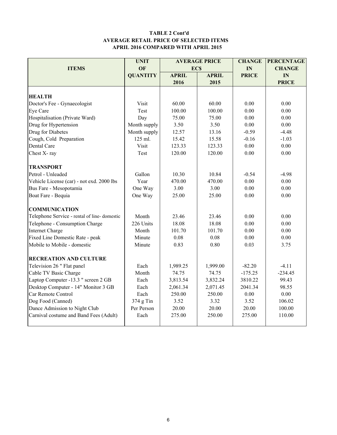#### TABLE 2 Cont'd AVERAGE RETAIL PRICE OF SELECTED ITEMS APRIL 2016 COMPARED WITH APRIL 2015

|                                             | <b>UNIT</b>     |              | <b>AVERAGE PRICE</b> | <b>CHANGE</b> | <b>PERCENTAGE</b> |
|---------------------------------------------|-----------------|--------------|----------------------|---------------|-------------------|
| <b>ITEMS</b>                                | <b>OF</b>       | <b>ECS</b>   |                      | IN            | <b>CHANGE</b>     |
|                                             | <b>QUANTITY</b> | <b>APRIL</b> | <b>APRIL</b>         | <b>PRICE</b>  | IN                |
|                                             |                 | 2016         | 2015                 |               | <b>PRICE</b>      |
|                                             |                 |              |                      |               |                   |
| <b>HEALTH</b>                               |                 |              |                      |               |                   |
| Doctor's Fee - Gynaecologist                | Visit           | 60.00        | 60.00                | 0.00          | 0.00              |
| Eye Care                                    | Test            | 100.00       | 100.00               | 0.00          | 0.00              |
| Hospitalisation (Private Ward)              | Day             | 75.00        | 75.00                | 0.00          | 0.00              |
| Drug for Hypertension                       | Month supply    | 3.50         | 3.50                 | 0.00          | 0.00              |
| Drug for Diabetes                           | Month supply    | 12.57        | 13.16                | $-0.59$       | $-4.48$           |
| Cough, Cold Preparation                     | 125 ml.         | 15.42        | 15.58                | $-0.16$       | $-1.03$           |
| Dental Care                                 | Visit           | 123.33       | 123.33               | 0.00          | 0.00              |
| Chest X-ray                                 | Test            | 120.00       | 120.00               | 0.00          | 0.00              |
| <b>TRANSPORT</b>                            |                 |              |                      |               |                   |
| Petrol - Unleaded                           | Gallon          | 10.30        | 10.84                | $-0.54$       | $-4.98$           |
| Vehicle License (car) - not exd. 2000 lbs   | Year            | 470.00       | 470.00               | 0.00          | 0.00              |
| Bus Fare - Mesopotamia                      | One Way         | 3.00         | 3.00                 | 0.00          | 0.00              |
| Boat Fare - Bequia                          | One Way         | 25.00        | 25.00                | 0.00          | 0.00              |
| <b>COMMUNICATION</b>                        |                 |              |                      |               |                   |
| Telephone Service - rental of line-domestic | Month           | 23.46        | 23.46                | 0.00          | 0.00              |
| Telephone - Consumption Charge              | 226 Units       | 18.08        | 18.08                | 0.00          | 0.00              |
| <b>Internet Charge</b>                      | Month           | 101.70       | 101.70               | 0.00          | 0.00              |
| Fixed Line Domestic Rate - peak             | Minute          | 0.08         | 0.08                 | 0.00          | 0.00              |
| Mobile to Mobile - domestic                 | Minute          | 0.83         | 0.80                 | 0.03          | 3.75              |
| <b>RECREATION AND CULTURE</b>               |                 |              |                      |               |                   |
| Television 26 " Flat panel                  | Each            | 1,989.25     | 1,999.00             | $-82.20$      | $-4.11$           |
| Cable TV Basic Charge                       | Month           | 74.75        | 74.75                | $-175.25$     | $-234.45$         |
| Laptop Computer -13.3 " screen 2 GB         | Each            | 3,813.54     | 3,832.24             | 3810.22       | 99.43             |
| Desktop Computer - 14" Monitor 3 GB         | Each            | 2,061.34     | 2,071.45             | 2041.34       | 98.55             |
| Car Remote Control                          | Each            | 250.00       | 250.00               | 0.00          | 0.00              |
| Dog Food (Canned)                           | 374 g Tin       | 3.52         | 3.32                 | 3.52          | 106.02            |
| Dance Admission to Night Club               | Per Person      | 20.00        | 20.00                | 20.00         | 100.00            |
| Carnival costume and Band Fees (Adult)      | Each            | 275.00       | 250.00               | 275.00        | 110.00            |
|                                             |                 |              |                      |               |                   |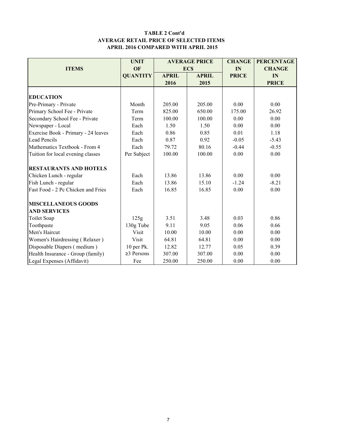#### TABLE 2 Cont'd AVERAGE RETAIL PRICE OF SELECTED ITEMS APRIL 2016 COMPARED WITH APRIL 2015

|                                     | <b>UNIT</b>      |              | <b>AVERAGE PRICE</b> | <b>CHANGE</b> | <b>PERCENTAGE</b> |
|-------------------------------------|------------------|--------------|----------------------|---------------|-------------------|
| <b>ITEMS</b>                        | OF               |              | <b>ECS</b>           | IN            | <b>CHANGE</b>     |
|                                     | <b>QUANTITY</b>  | <b>APRIL</b> | <b>APRIL</b>         | <b>PRICE</b>  | IN                |
|                                     |                  | 2016         | 2015                 |               | <b>PRICE</b>      |
|                                     |                  |              |                      |               |                   |
| <b>EDUCATION</b>                    |                  |              |                      |               |                   |
| Pre-Primary - Private               | Month            | 205.00       | 205.00               | 0.00          | 0.00              |
| Primary School Fee - Private        | Term             | 825.00       | 650.00               | 175.00        | 26.92             |
| Secondary School Fee - Private      | Term             | 100.00       | 100.00               | 0.00          | 0.00              |
| Newspaper - Local                   | Each             | 1.50         | 1.50                 | 0.00          | 0.00              |
| Exercise Book - Primary - 24 leaves | Each             | 0.86         | 0.85                 | 0.01          | 1.18              |
| <b>Lead Pencils</b>                 | Each             | 0.87         | 0.92                 | $-0.05$       | $-5.43$           |
| Mathematics Textbook - From 4       | Each             | 79.72        | 80.16                |               | $-0.55$           |
| Tuition for local evening classes   | Per Subject      | 100.00       | 100.00               | 0.00          | 0.00              |
| <b>RESTAURANTS AND HOTELS</b>       |                  |              |                      |               |                   |
| Chicken Lunch - regular             | Each             | 13.86        | 13.86                | 0.00          | 0.00              |
| Fish Lunch - regular                | Each             | 13.86        | 15.10                | $-1.24$       | $-8.21$           |
| Fast Food - 2 Pc Chicken and Fries  | Each             | 16.85        | 16.85                | 0.00          | 0.00              |
| <b>MISCELLANEOUS GOODS</b>          |                  |              |                      |               |                   |
| <b>AND SERVICES</b>                 |                  |              |                      |               |                   |
| Toilet Soap                         | 125g             | 3.51         | 3.48                 | 0.03          | 0.86              |
| Toothpaste                          | 130g Tube        | 9.11         | 9.05                 | 0.06          | 0.66              |
| Men's Haircut                       | Visit            | 10.00        | 10.00                | 0.00          | 0.00              |
| Women's Hairdressing (Relaxer)      | Visit            | 64.81        | 64.81                | 0.00          | 0.00              |
| Disposable Diapers (medium)         | 10 per Pk.       | 12.82        | 12.77                | 0.05          | 0.39              |
| Health Insurance - Group (family)   | $\geq$ 3 Persons | 307.00       | 307.00               | 0.00          | 0.00              |
| Legal Expenses (Affidavit)          | Fee              | 250.00       | 250.00               | 0.00          | 0.00              |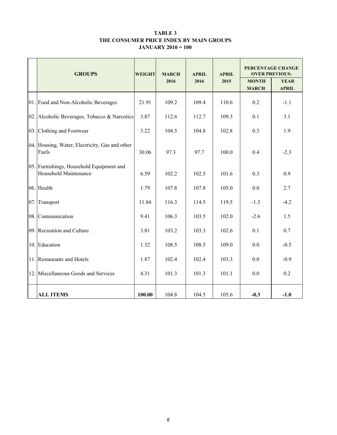#### TABLE 3 THE CONSUMER PRICE INDEX BY MAIN GROUPS JANUARY 2010 = 100

|     | <b>GROUPS</b>                                                            | <b>WEIGHT</b> | <b>MARCH</b> | <b>APRIL</b> | <b>APRIL</b> | PERCENTAGE CHANGE<br><b>OVER PREVIOUS:</b> |                             |  |
|-----|--------------------------------------------------------------------------|---------------|--------------|--------------|--------------|--------------------------------------------|-----------------------------|--|
|     |                                                                          |               | 2016         | 2016         | 2015         | <b>MONTH</b><br><b>MARCH</b>               | <b>YEAR</b><br><b>APRIL</b> |  |
|     | 01. Food and Non-Alcoholic Beverages                                     | 21.91         | 109.2        | 109.4        | 110.6        | 0.2                                        | $-1.1$                      |  |
| 02. | Alcoholic Beverages, Tobacco & Narcotics                                 | 3.87          | 112.6        | 112.7        | 109.3        | 0.1                                        | 3.1                         |  |
|     | 03. Clothing and Footwear                                                | 3.22          | 104.5        | 104.8        | 102.8        | 0.3                                        | 1.9                         |  |
|     | 04. Housing, Water, Electricity, Gas and other<br>Fuels                  | 30.06         | 97.3         | 97.7         | 100.0        | 0.4                                        | $-2.3$                      |  |
|     | 05. Furnishings, Household Equipment and<br><b>Household Maintenance</b> | 6.59          | 102.2        | 102.5        | 101.6        | 0.3                                        | 0.9                         |  |
|     | 06. Health                                                               | 1.79          | 107.8        | 107.8        | 105.0        | 0.0                                        | 2.7                         |  |
| 07. | Transport                                                                | 11.84         | 116.3        | 114.5        | 119.5        | $-1.5$                                     | $-4.2$                      |  |
|     | 08. Communication                                                        | 9.41          | 106.3        | 103.5        | 102.0        | $-2.6$                                     | 1.5                         |  |
|     | 09. Recreation and Culture                                               | 3.81          | 103.2        | 103.3        | 102.6        | 0.1                                        | 0.7                         |  |
| 10. | Education                                                                | 1.32          | 108.5        | 108.5        | 109.0        | 0.0                                        | $-0.5$                      |  |
|     | 11. Restaurants and Hotels                                               | 1.87          | 102.4        | 102.4        | 103.3        | 0.0                                        | $-0.9$                      |  |
| 12. | Miscellaneous Goods and Services                                         | 4.31          | 101.3        | 101.3        | 101.1        | 0.0                                        | 0.2                         |  |
|     | <b>ALL ITEMS</b>                                                         | 100.00        | 104.8        | 104.5        | 105.6        | $-0.3$                                     | $-1.0$                      |  |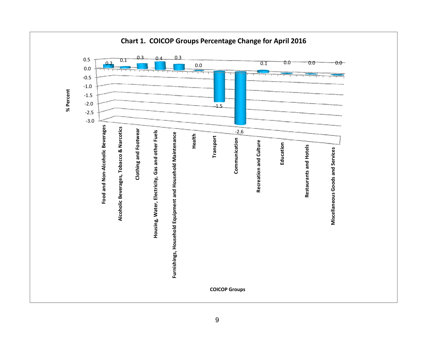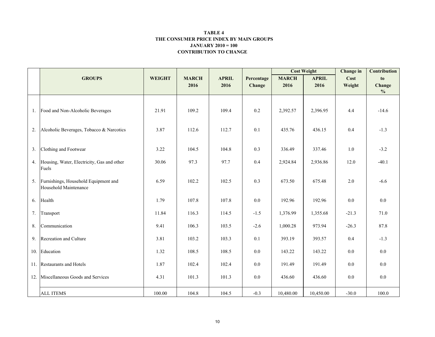#### CONTRIBUTION TO CHANGE TABLE 4 THE CONSUMER PRICE INDEX BY MAIN GROUPSJANUARY 2010 = 100

|     |                                            |               |              |              |            | <b>Cost Weight</b> |              | <b>Change</b> in | <b>Contribution</b> |
|-----|--------------------------------------------|---------------|--------------|--------------|------------|--------------------|--------------|------------------|---------------------|
|     | <b>GROUPS</b>                              | <b>WEIGHT</b> | <b>MARCH</b> | <b>APRIL</b> | Percentage | <b>MARCH</b>       | <b>APRIL</b> | Cost             | to                  |
|     |                                            |               | 2016         | 2016         | Change     | 2016               | 2016         | Weight           | Change              |
|     |                                            |               |              |              |            |                    |              |                  | $\frac{0}{0}$       |
|     |                                            |               |              |              |            |                    |              |                  |                     |
|     | 1. Food and Non-Alcoholic Beverages        | 21.91         | 109.2        | 109.4        | 0.2        | 2,392.57           | 2,396.95     | 4.4              | $-14.6$             |
|     |                                            |               |              |              |            |                    |              |                  |                     |
| 2.  | Alcoholic Beverages, Tobacco & Narcotics   | 3.87          | 112.6        | 112.7        | 0.1        | 435.76             | 436.15       | 0.4              | $-1.3$              |
|     |                                            |               |              |              |            |                    |              |                  |                     |
| 3.  | Clothing and Footwear                      | 3.22          | 104.5        | 104.8        | 0.3        | 336.49             | 337.46       | $1.0\,$          | $-3.2$              |
| 4.  | Housing, Water, Electricity, Gas and other | 30.06         | 97.3         | 97.7         | 0.4        | 2,924.84           | 2,936.86     | 12.0             | $-40.1$             |
|     | Fuels                                      |               |              |              |            |                    |              |                  |                     |
| 5.  | Furnishings, Household Equipment and       | 6.59          | 102.2        | 102.5        | 0.3        | 673.50             | 675.48       | 2.0              | $-6.6$              |
|     | Household Maintenance                      |               |              |              |            |                    |              |                  |                     |
| 6.  | Health                                     | 1.79          | 107.8        | 107.8        | 0.0        | 192.96             | 192.96       | $0.0\,$          | 0.0                 |
| 7.  | Transport                                  | 11.84         | 116.3        | 114.5        | $-1.5$     | 1,376.99           | 1,355.68     | $-21.3$          | 71.0                |
|     |                                            |               |              |              |            |                    |              |                  |                     |
| 8.  | Communication                              | 9.41          | 106.3        | 103.5        | $-2.6$     | 1,000.28           | 973.94       | $-26.3$          | 87.8                |
| 9.  | Recreation and Culture                     | 3.81          | 103.2        | 103.3        | 0.1        | 393.19             | 393.57       | 0.4              | $-1.3$              |
|     |                                            |               |              |              |            |                    |              |                  |                     |
|     | 10. Education                              | 1.32          | 108.5        | 108.5        | $0.0\,$    | 143.22             | 143.22       | 0.0              | 0.0                 |
|     | 11. Restaurants and Hotels                 | 1.87          | 102.4        | 102.4        | $0.0\,$    | 191.49             | 191.49       | $0.0\,$          | 0.0                 |
| 12. | Miscellaneous Goods and Services           | 4.31          | 101.3        | 101.3        | $0.0\,$    | 436.60             | 436.60       | 0.0              | 0.0                 |
|     |                                            |               |              |              |            |                    |              |                  |                     |
|     | <b>ALL ITEMS</b>                           | 100.00        | 104.8        | 104.5        | $-0.3$     | 10,480.00          | 10,450.00    | $-30.0$          | 100.0               |